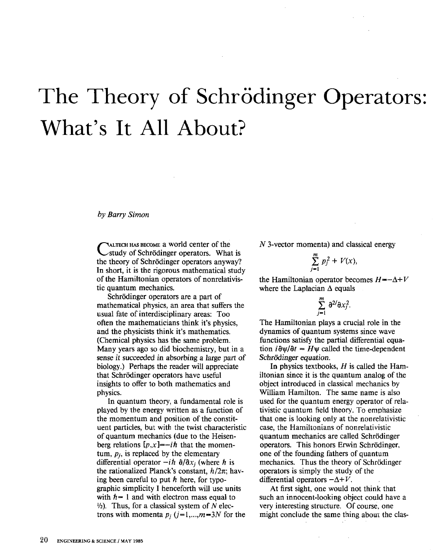## The Theory of Schrödinger Operators: **What's It All About?**

by Barry Simon

CALTECH HAS BECOME a World center of the<br>
study of Schrödinger operators. What is the theory of Schrödinger operators anyway? In short, it is the rigorous mathematical study of the Hamiltonian operators of nonrelativistic quantum mechanics.

Schrödinger operators are a part of mathematical physics, an area that suffers the usual fate of interdisciplinary areas: Too often the mathematicians think it's physics, and the physicists think it's mathematics. (Chemical physics has the same problem. Many years ago so did biochemistry, but in a sense it succeeded in absorbing a large part of biology.) Perhaps the reader will appreciate that Schrödinger operators have useful insights to offer to both mathematics and physics.

In quantum theory, a fundamental role is played by the energy written as a function of the momentum and position of the constituent particles, but with the twist characteristic of quantum mechanics (due to the Heisenberg relations  $[p, x] = -i\hbar$  that the momentum,  $p_i$ , is replaced by the elementary differential operator  $-i\hbar \partial/\partial x_i$  (where  $\hbar$  is the rationalized Planck's constant,  $h/2\pi$ ; having been careful to put *h* here, for typographic simplicity I henceforth will use units with  $h = 1$  and with electron mass equal to  $\frac{1}{2}$ . Thus, for a classical system of N electrons with momenta  $p_i$   $(j=1,...,m=3N$  for the

*N* 3-vector momenta) and classical energy

$$
\sum_{j=1}^m p_j^2 + V(x),
$$

the Hamiltonian operator becomes  $H = -\Delta + V$ where the Laplacian  $\Delta$  equals

$$
\sum_{j=1}^m\,\partial^{2j}\partial x_j^2.
$$

The Hamiltonian plays a crucial role in the dynamics of quantum systems since wave functions satisfy the partial differential equation  $i\partial \psi/\partial t = H\psi$  called the time-dependent Schrödinger equation.

In physics textbooks,  $H$  is called the Hamiltonian since it is the quantum analog of the object introduced in classical mechanics by William Hamilton. The same name is also used for the quantum energy operator of relativistic quantum field theory. To emphasize that one is looking only at the nonrelativistic case, the Hamiltonians of nonrelativistic quantum mechanics are called Schrodinger operators. This honors Erwin Schrodinger, one of the founding fathers of quantum mechanics. Thus the theory of Schrödinger operators is simply the study of the differential operators  $-\Delta+V$ .

At first sight, one would not think that such an innocent-looking object could have a very interesting structure. Of course, one might conclude the same thing about the clas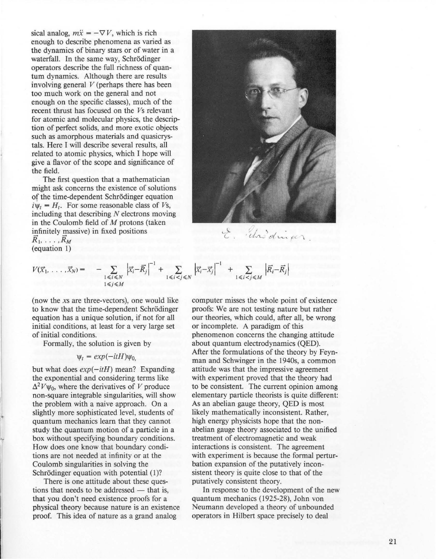sical analog,  $m\ddot{x} = -\nabla V$ , which is rich enough to describe phenomena as varied as the dynamics of binary stars or of water in a waterfall. In the same way, Schrödinger operators describe the full richness of quantum dynamics. Although there are results involving general *V* (perhaps there has been too much work on the general and not enough on the specific classes), much of the recent thrust has focused on the *Vs* relevant for atomic and molecular physics, the description of perfect solids, and more exotic objects such as amorphous materials and quasicrystals. Here I will describe several results, all related to atomic physics, which I hope will give a flavor of the scope and significance of the field.

The first question that a mathematician might ask concerns the existence of solutions of the time-dependent Schrodinger equation  $i\psi_t = H_t$ . For some reasonable class of *Vs*, including that describing  $N$  electrons moving in the Coulomb field of M protons (taken infinitely massive) in fixed positions  $\overline{R}_1, \ldots, \overline{R}_M$ (equation I)



"cha" d'un pe

$$
V(\vec{x}_1,\ldots,\vec{x}_N) = -\sum_{\substack{1 \leq i \leq N \\ 1 \leq j \leq M}} \left| \vec{x}_i - \vec{R}_j \right|^{-1} + \sum_{\substack{1 \leq i < j \leq N}} \left| \vec{x}_i - \vec{x}_j \right|^{-1} + \sum_{\substack{1 \leq i < j \leq M}} \left| \vec{R}_i - \vec{R}_j \right|
$$

(now the *xs* are three-vectors), one would like to know that the time-dependent Schrödinger equation has a unique solution, if not for all initial conditions, at least for a very large set of initial conditions.

Formally, the solution is given by

## $\Psi_t = exp(-itH)\Psi_0$

but what does  $exp(-itH)$  mean? Expanding the exponential and considering terms like  $\Delta^2 V \psi_0$ , where the derivatives of V produce non-square integrable singularities, will show the problem with a naive approach. On a slightly more sophisticated level, students of quantum mechanics learn that they cannot study the quantum motion of a particle in a box without specifying boundary conditions. How does one know that boundary conditions are not needed at infinity or at the Coulomb singularities in solving the Schrödinger equation with potential (1)?

•

There is one attitude about these questions that needs to be addressed  $-$  that is, that you don't need existence proofs for a physical theory because nature is an existence proof. This idea of nature as a grand analog

computer misses the whole point of existence proofs: We are not testing nature but rather our theories, which could, after all, be wrong or incomplete. A paradigm of this phenomenon concerns the changing attitude about quantum electrodynamics (QED). After the formulations of the theory by Feynman and Schwinger in the 1940s, a common attitude was that the impressive agreement with experiment proved that the theory had to be consistent. The current opinion among elementary particle theorists is quite different: As an abelian gauge theory, QED is most likely mathematically inconsistent. Rather, high energy physicists hope that the nonabelian gauge theory associated to the unified treatment of electromagnetic and weak interactions is consistent. The agreement with experiment is because the formal perturbation expansion of the putatively inconsistent theory is quite close to that of the putatively consistent theory.

**[n** response to the development of the new quantum mechanics (1925-28), John von Neumann developed a theory of unbounded operators in Hilbert space precisely to deal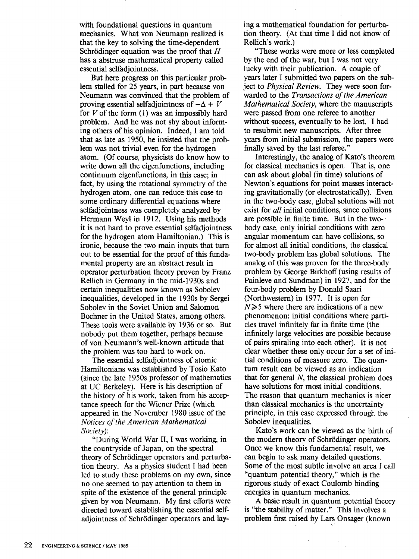with foundational questions in quantum mechanics. What von Neumann realized is that the key to solving the time-dependent Schrödinger equation was the proof that  $H$ has a abstruse mathematical property called essential selfadjointness.

But here progress on this particular problem stalled for 25 years, in part because von Neumann was convinced that the problem of proving essential selfadjointness of  $-\Delta + V$ for  $V$  of the form  $(1)$  was an impossibly hard problem. And he was not shy about informing others of his opinion. Indeed, I am told that as late as 1950, he insisted that the problem was not trivial even for the hydrogen atom. (Of course, physicists do know how to write down all the eigenfunctions, including continuum eigenfunctions, in this case; in fact, by using the rotational symmetry of the hydrogen atom, one can reduce this case to some ordinary differential equations where selfadjointness was completely analyzed by Hermann Weyl in 1912. Using his methods it is not hard to prove essential selfadjointness for the hydrogen atom Hamiltonian.) This is ironic, because the two main inputs that tum out to be essential for the proof of this fundamental property are an abstract result in operator perturbation theory proven by Franz Rellich in Germany in the mid-1930s and certain inequalities now known as Sobolev inequalities, developed in the 1930s by Sergei Sobolev in the Soviet Union and Salomon Bochner in the United States, among others. These tools were available by 1936 or so. But nobody put them together, perhaps because of von Neumann's well-known attitude that the problem was too hard to work on.

The essential selfadjointness of atomic Hamiltonians was established by Tosio Kato (since the late 1950s professor of mathematics at UC Berkeley). Here is his description of the history of his work, taken from his acceptance speech for the Wiener Prize (which appeared in the November 1980 issue of the *Notices of the American Mathematical Society):* 

"During World War II, I was working, in the countryside of Japan, on the spectral theory of Schrödinger operators and perturbation theory. As a physics student I had been led to study these problems on my own, since no one seemed to pay attention to them in spite of the existence of the general principle given by von Neumann. My first efforts were directed toward establishing the essential selfadjointness of Schrödinger operators and laying a mathematical foundation for perturbation theory. (At that time I did not know of Rellich's work.)

"These works were more or less completed by the end of the war, but I was not very lucky with their publication. A couple of years later I submitted two papers on the subject to *Physical Review.* They were soon forwarded to the *Transactions of the American Mathematical Society,* where the manuscripts were passed from one referee to another without success, eventually to be lost. I had to resubmit new manuscripts. After three years from initial submission, the papers were finally saved by the last referee."

Interestingly, the analog of Kato's theorem for classical mechanics is open. That is, one can ask about global (in time) solutions of Newton's equations for point masses interacting gravitationally (or electrostatically). Even in the two-body case, global solutions will not exist for *all* initial conditions, since collisions are possible in finite time. But in the twobody case, only initial conditions with zero angular momentum can have collisions, so for almost all initial conditions, the classical two-body problem has global solutions. The analog of this was proven for the three-body problem by George Birkhoff (using results of Painleve and Sundman) in 1927, and for the four-body problem by Donald Saari (Northwestern) in 1977. It is open for  $N \geq 5$  where there are indications of a new phenomenon: initial conditions where particles travel infinitely far in finite time (the infinitely large velocities are possible because of pairs spiraling into each other). It is not clear whether these only occur for a set of initial conditions of measure zero. The quantum result can be viewed as an indication that for general N, the classical problem does have solutions for most initial conditions. The reason that quantum mechanics is nicer than classical mechanics is the uncertainty principle, in this case expressed through the Sobolev inequalities.

Kato's work can be viewed as the birth of the modern theory of Schrödinger operators. Once we know this fundamental result, we can begin to ask many detailed questions. Some of the most subtle involve an area f call "quantum potential theory," which is the rigorous study of exact Coulomb binding energies in quantum mechanics.

A basic result in quantum potential theory is "the stability of matter." This involves a problem first raised by Lars Onsager (known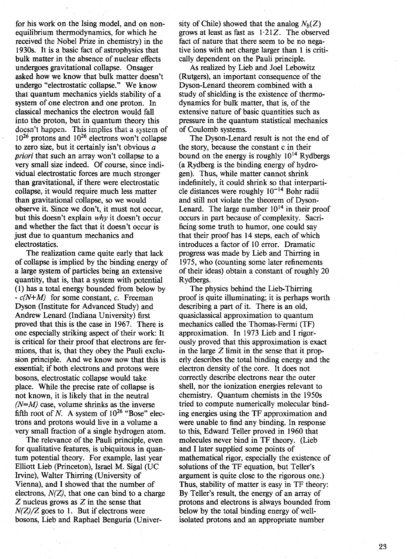for his work on the Ising model, and on nonequilibrium thermodynamics, for which he received the Nobel Prize in chemistry) in the 1930s. It is a basic fact of astrophysics that bulk matter in the absence of nuclear effects undergoes gravitational collapse. Onsager asked how we know that bulk matter doesn't undergo "electrostatic collapse." We know that quantum mechanics yields stability of a system of one electron and one proton. In classical mechanics the electron would fall into the proton, but in quantum theory this doesn't happen. This implies that a system of  $10^{26}$  protons and  $10^{26}$  electrons won't collapse to zero size, but it certainly isn't obvious a *priori* that such an array won't collapse to a very small size indeed. Of course, since individual electrostatic forces are much stronger than gravitational, if there were electrostatic collapse, it would require much less matter than gravitational collapse, so we would observe it. Since we don't, it must not occur, but this doesn't explain *why* it doesn't occur and whether the fact that it doesn't occur is just due to quantum mechanics and electrostatics.

The realization came quite early that lack of collapse is implied by the binding energy of a large system of particles being an extensive quantity, that is, that a system with potential (1) has a total energy bounded from below by *- c(N+M)* for some constant, c. Freeman Dyson (Institute for Advanced Study) and Andrew Lenard (Indiana University) first proved that this is the case in 1967. There is one especially striking aspect of their work: It is critical for their proof that electrons are fermions, that is, that they obey the Pauli exclusion principle. And we know now that this is essential; if both electrons and protons were bosons, electrostatic collapse would take place. While the precise rate of collapse is not known, it is likely that in the neutral *(N=M)* case, volume shrinks as the inverse fifth root of N. A system of  $10^{26}$  "Bose" electrons and protons would live in a volume a very small fraction of a single hydrogen atom.

The relevance of the Pauli principle, even for qualitative features, is ubiquitous in quantum potential theory. For example, last year Elliott Lieb (Princeton), Israel M. Sigal (UC Irvine), Walter Thirring (University of Vienna), and I showed that the number of electrons,  $N(Z)$ , that one can bind to a charge Z nucleus grows as Z in the sense that  $N(Z)/Z$  goes to 1. But if electrons were bosons, Lieb and Raphael Benguria (University of Chile) showed that the analog  $N_b(Z)$ grows at least as fast as  $1.21Z$ . The observed fact of nature that there seem to be no negative ions with net charge larger than 1 is critically dependent on the Pauli principle.

As realized by Lieb and Joel Lebowitz (Rutgers), an important consequence of the Dyson-Lenard theorem combined with a study of shielding is the existence of thermodynamics for bulk matter, that is, of the extensive nature of basic quantities such as pressure in the quantum statistical mechanics of Coulomb systems.

The Dyson-Lenard result is not the end of the story, because the constant c in their bound on the energy is roughly  $10^{14}$  Rydbergs (a Rydberg is the binding energy of hydrogen). Thus, while matter cannot shrink indefinitely, it could shrink so that interparticle distances were roughly  $10^{-14}$  Bohr radii and still not violate the theorem of Dyson-Lenard. The large number  $10^{14}$  in their proof occurs in part because of complexity. Sacrificing some truth to humor, one could say that their proof has 14 steps, each of which introduces a factor of 10 error. Dramatic progress was made by Lieb and Thirring in 1975, who (counting some later refinements of their ideas) obtain a constant of roughly 20 Rydbergs.

The physics behind the Lieb-Thirring proof is quite illuminating; it is perhaps worth describing a part of it. There is an old, quasiclassical approximation to quantum mechanics called the Thomas-Fermi (TF) approximation. In 1973 Lieb and I rigorously proved that this approximation is exact in the large  $Z$  limit in the sense that it properly describes the total binding energy and the electron density of the core. It does not correctly describe electrons near the outer shell, nor the ionization energies relevant to chemistry. Quantum chemists in the 1950s tried to compute numerically molecular binding energies using the TF approximation and were unable to find any binding. In response to this, Edward Teller proved in 1960 that molecules never bind in TF theory. (Lieb and I later supplied some points of mathematical rigor, especially the existence of solutions of the TF equation, but Teller's argument is quite close to the rigorous one.) Thus, stability of matter is easy in TF theory: By Teller's result, the energy of an array of protons and electrons is always bounded from below by the total binding energy of wellisolated protons and an appropriate number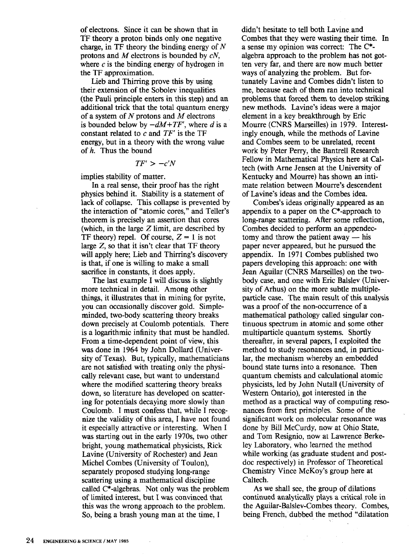of electrons. Since it can be shown that in TF theory a proton binds only one negative charge, in TF theory the binding energy of *N*  protons and *M* electrons is bounded by *eN,*  where  $c$  is the binding energy of hydrogen in the TF approximation.

Lieb and Thirring prove this by using their extension of the Sobolev inequalities (the Pauli principle enters in this step) and an additional trick that the total quantum energy of a system of *N* protons and *M* electrons is bounded below by  $-dM+TF'$ , where *d* is a constant related to e and *TF'* is the TF energy, but in a theory with the wrong value of h. Thus the bound

$$
TF' > -c'N
$$

implies stability of matter.

In a real sense, their proof has the right physics behind it. Stability is a statement of lack of collapse. This collapse is prevented by the interaction of "atomic cores," and Teller's theorem is precisely an assertion that cores (which, in the large  $Z$  limit, are described by TF theory) repel. Of course,  $Z = 1$  is not large Z, so that it isn't clear that TF theory will apply here; Lieb and Thirring's discovery is that, if one is willing to make a small sacrifice in constants, it does apply.

The last example I will discuss is slightly more technical in detail. Among other things, it illustrates that in mining for pyrite, you can occasionally discover gold. Simpleminded, two-body scattering theory breaks down precisely at Coulomb potentials. There is a logarithmic infinity that must be handled. From a time-dependent point of view, this was done in 1964 by John Dollard (University of Texas). But, typically, mathematicians are not satisfied with treating only the physically relevant case, but want to understand where the modified scattering theory breaks down, so literature has developed on scattering for potentials decaying more slowly than Coulomb. I must confess that, while I recognize the validity of this area, I have not found it especially attractive or interesting. When I was starting out in the early 1970s, two other bright, young mathematical physicists, Rick Lavine (University of Rochester) and Jean Michel Combes (University of Toulon), separately proposed studying long-range scattering using a mathematical discipline called C\*-algebras. Not only was the problem of limited interest, but I was convinced that this was the wrong approach to the problem. So, being a brash young man at the time, I

didn't hesitate to tell both Lavine. and Combes that they were wasting their time. In a sense my opinion was correct: The C\* algebra approach to the problem has not gotten very far, and there are now much better ways of analyzing the problem. But fortunately Lavine and Combes didn't listen to me, because each of them ran into technical problems that forced them to develop striking new methods. Lavine's ideas were a major element in a key breakthrough by Eric Mourre (CNRS Marseilles) in 1979. Interestingly enough, while the methods of Lavine and Combes seem to be unrelated, recent work by Peter Perry, the Bantrell Research Fellow in Mathematical Physics here at Caltech (with Arne Jensen at the University of Kentucky and Mourre) has shown an intimate relation between Mourre's descendent of Lavine's ideas and the Combes idea.

Combes's ideas originally appeared as an appendix to a paper on the C\*-approach to long-range scattering. After some reflection, Combes decided to perform an appendectomy and throw the patient away  $-$  his paper never appeared, but he pursued the appendix. In 1971 Combes published two papers developing this approach: one with Jean Aguilar (CNRS Marseilles) on the twobody case, and one with Eric Balslev (University of Arhus) on the more subtle multipleparticle case. The main result of this analysis was a proof of the non-occurrence of a mathematical pathology called singular continuous spectrum in atomic and some other multiparticle quantum systems. Shortly thereafter, in several papers, I exploited the method to study resonances and, in particular, the mechanism whereby an embedded bound state turns into a resonance. Then quantum chemists and calculational atomic physicists, led by John Nutall (University of Western Ontario), got interested in the method as a practical way of computing resonances from first principles. Some of the significant work on molecular resonance was done by Bill McCurdy, now at Ohio State, and Tom Resignio, now at Lawrence Berkeley Laboratory, who learned the method while working (as graduate student and postdoc respectively) in Professor of Theoretical Chemistry Vince McKoy's group here at Caltech.

As we shall see, the group of dilations continued analytically plays a critical.role in the Aguilar-Balslev-Combes theory. Combes, being French, dubbed the method "dilatation